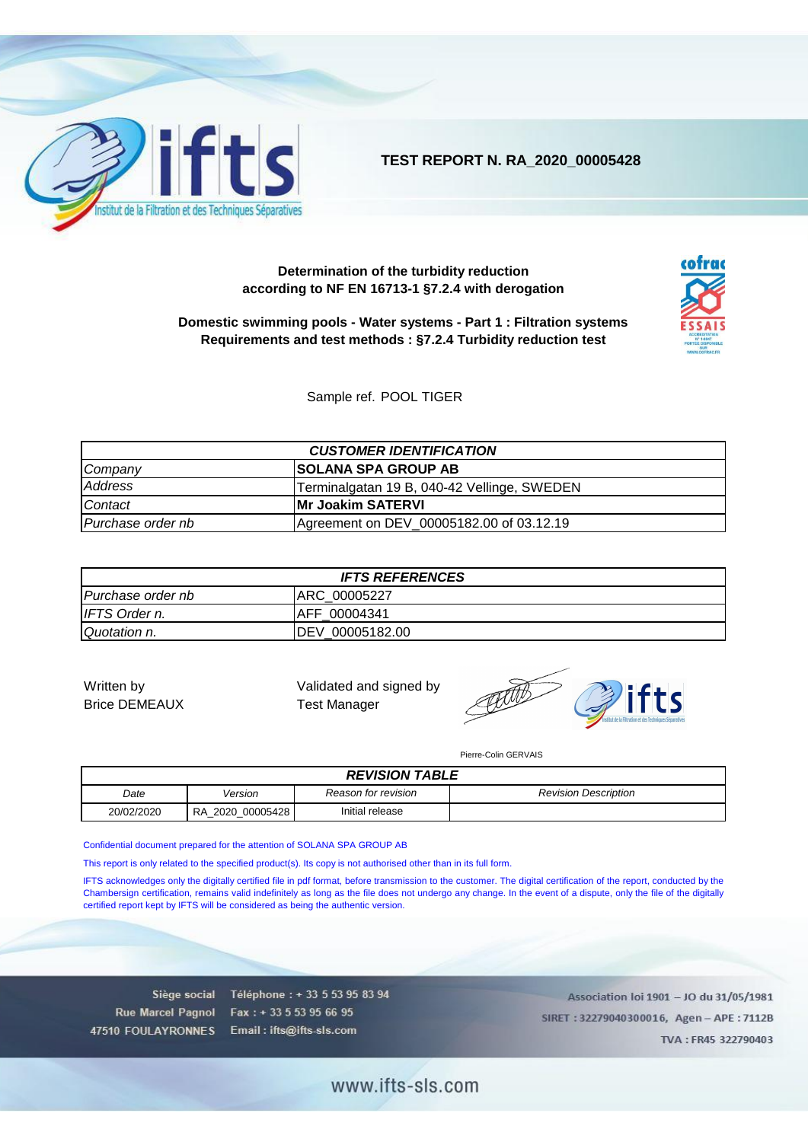

**TEST REPORT N. RA\_2020\_00005428**

#### **Determination of the turbidity reduction according to NF EN 16713-1 §7.2.4 with derogation**



**Domestic swimming pools - Water systems - Part 1 : Filtration systems Requirements and test methods : §7.2.4 Turbidity reduction test**

Sample ref. POOL TIGER

| <b>CUSTOMER IDENTIFICATION</b>                                |  |  |  |
|---------------------------------------------------------------|--|--|--|
| <b>SOLANA SPA GROUP AB</b><br>Company                         |  |  |  |
| Address<br>Terminalgatan 19 B, 040-42 Vellinge, SWEDEN        |  |  |  |
| <b>IMr Joakim SATERVI</b><br><b>Contact</b>                   |  |  |  |
| Agreement on DEV_00005182.00 of 03.12.19<br>Purchase order nb |  |  |  |

| <b>IFTS REFERENCES</b>            |              |  |  |
|-----------------------------------|--------------|--|--|
| ARC 00005227<br>Purchase order nb |              |  |  |
| I IFTS Order n.                   | AFF 00004341 |  |  |
| DEV 00005182.00<br>Quotation n.   |              |  |  |

Brice DEMEAUX Test Manager

Written by **Validated and signed by** Validated and signed by



Pierre-Colin GERVAIS

| <b>REVISION TABLE</b>                                          |                                                                      |  |  |  |  |
|----------------------------------------------------------------|----------------------------------------------------------------------|--|--|--|--|
| Date                                                           | <b>Revision Description</b><br><b>Reason for revision</b><br>Version |  |  |  |  |
| Initial release<br>20/02/2020<br><b>RA</b><br>00005428<br>2020 |                                                                      |  |  |  |  |

Confidential document prepared for the attention of SOLANA SPA GROUP AB

This report is only related to the specified product(s). Its copy is not authorised other than in its full form.

IFTS acknowledges only the digitally certified file in pdf format, before transmission to the customer. The digital certification of the report, conducted by the Chambersign certification, remains valid indefinitely as long as the file does not undergo any change. In the event of a dispute, only the file of the digitally certified report kept by IFTS will be considered as being the authentic version.

Rue Marcel Pagnol 47510 FOULAYRONNES

Siège social Téléphone : + 33 5 53 95 83 94 Fax: +33 5 53 95 66 95 Email: ifts@ifts-sls.com

Association loi 1901 - JO du 31/05/1981 SIRET: 32279040300016, Agen-APE: 7112B TVA: FR45 322790403

www.ifts-sls.com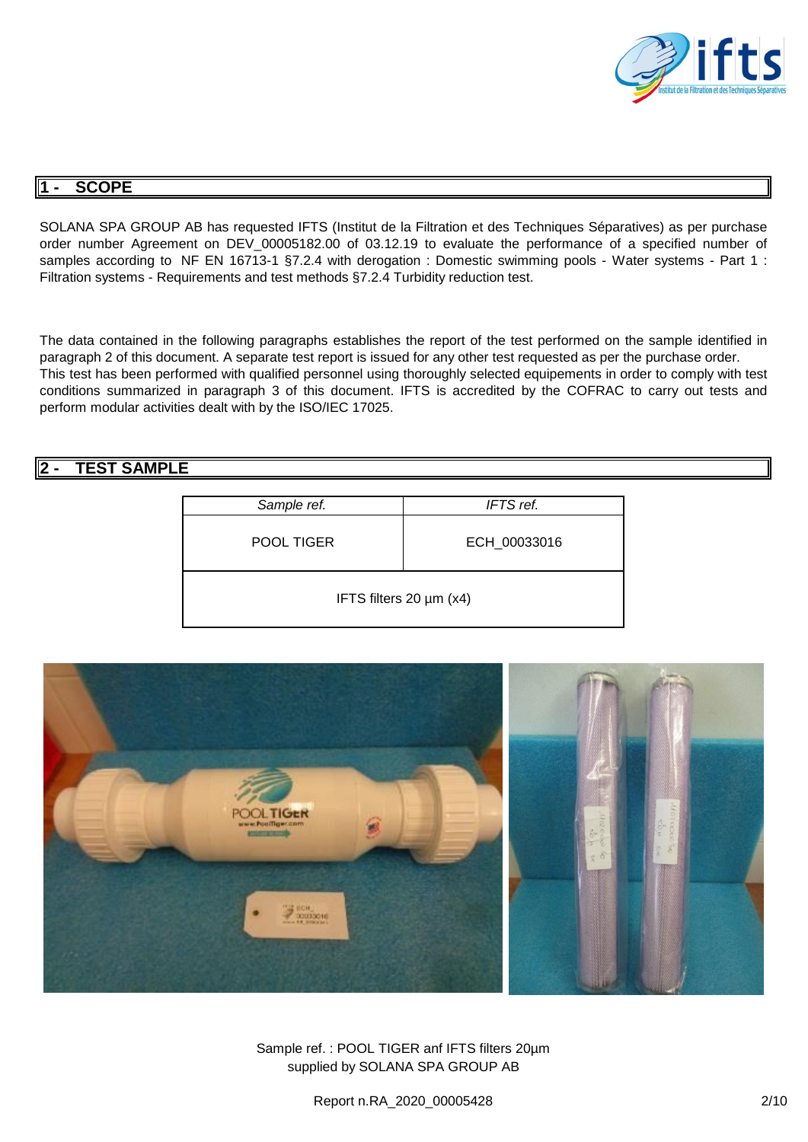

### **1 - SCOPE**

SOLANA SPA GROUP AB has requested IFTS (Institut de la Filtration et des Techniques Séparatives) as per purchase order number Agreement on DEV\_00005182.00 of 03.12.19 to evaluate the performance of a specified number of samples according to NF EN 16713-1 §7.2.4 with derogation : Domestic swimming pools - Water systems - Part 1 : Filtration systems - Requirements and test methods §7.2.4 Turbidity reduction test.

The data contained in the following paragraphs establishes the report of the test performed on the sample identified in paragraph 2 of this document. A separate test report is issued for any other test requested as per the purchase order. This test has been performed with qualified personnel using thoroughly selected equipements in order to comply with test conditions summarized in paragraph 3 of this document. IFTS is accredited by the COFRAC to carry out tests and perform modular activities dealt with by the ISO/IEC 17025.

# **2 - TEST SAMPLE**

| Sample ref.             | IFTS ref.    |
|-------------------------|--------------|
| POOL TIGER              | ECH_00033016 |
| IFTS filters 20 µm (x4) |              |



Sample ref. : POOL TIGER anf IFTS filters 20µm supplied by SOLANA SPA GROUP AB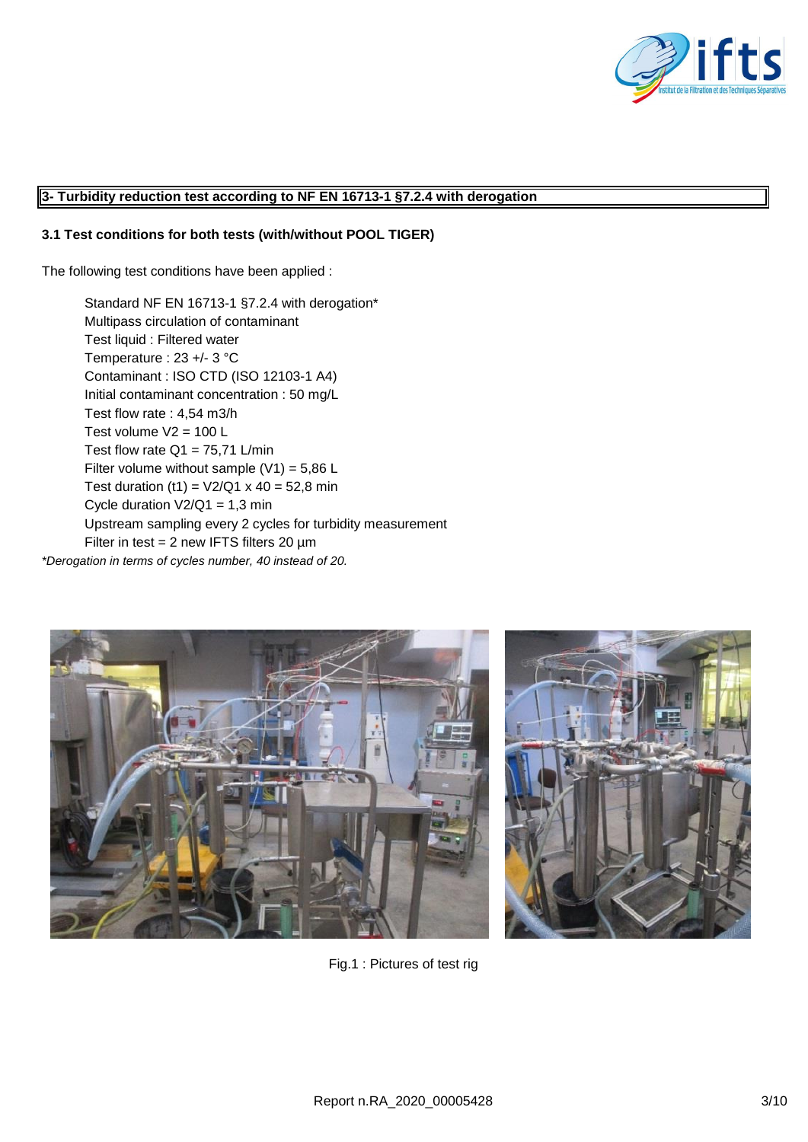

#### **3- Turbidity reduction test according to NF EN 16713-1 §7.2.4 with derogation**

#### **3.1 Test conditions for both tests (with/without POOL TIGER)**

The following test conditions have been applied :

Standard NF EN 16713-1 §7.2.4 with derogation\* Multipass circulation of contaminant Test liquid : Filtered water Temperature : 23 +/- 3 °C Contaminant : ISO CTD (ISO 12103-1 A4) Initial contaminant concentration : 50 mg/L Test flow rate : 4,54 m3/h Test volume  $V2 = 100$  L Test flow rate  $Q1 = 75,71$  L/min Filter volume without sample  $(V1) = 5.86 L$ Test duration (t1) =  $V2/Q1 \times 40 = 52,8$  min Cycle duration  $V2/Q1 = 1,3$  min Upstream sampling every 2 cycles for turbidity measurement Filter in test =  $2$  new IFTS filters  $20 \mu m$ 

*\*Derogation in terms of cycles number, 40 instead of 20.*





Fig.1 : Pictures of test rig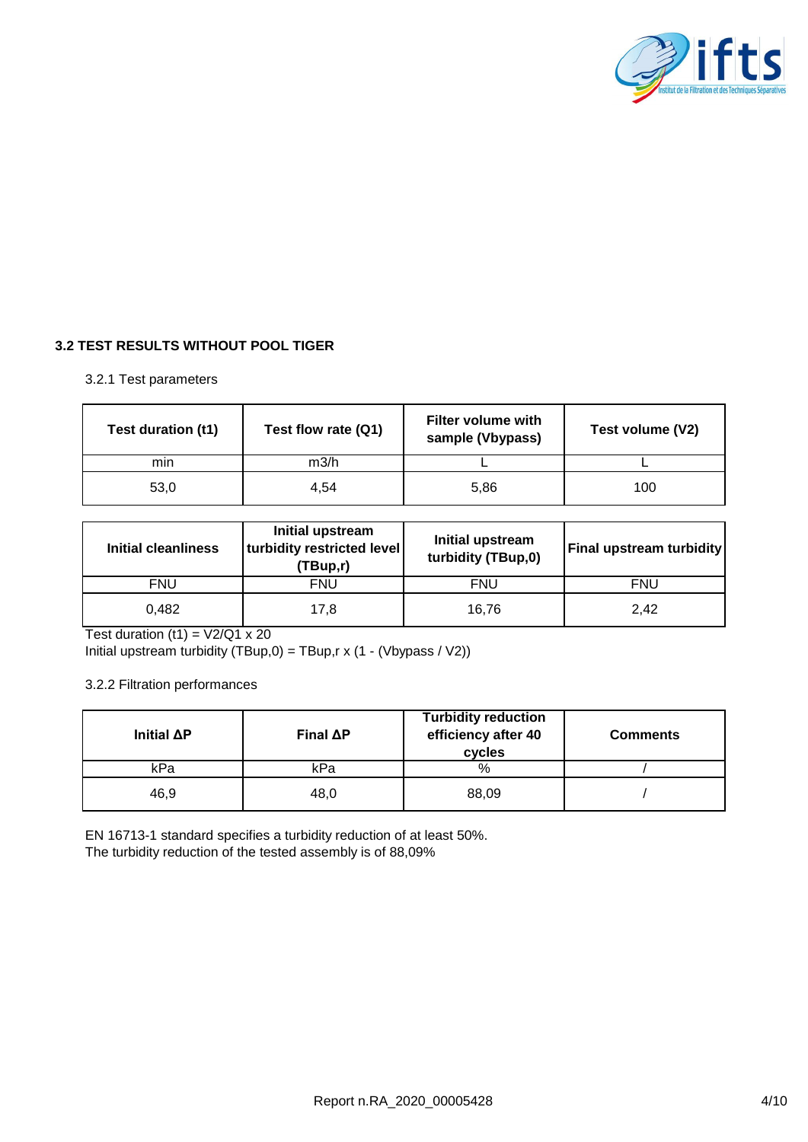

## **3.2 TEST RESULTS WITHOUT POOL TIGER**

### 3.2.1 Test parameters

| Test duration (t1) | Test flow rate (Q1) | <b>Filter volume with</b><br>sample (Vbypass) | Test volume (V2) |
|--------------------|---------------------|-----------------------------------------------|------------------|
| min                | m3/h                |                                               |                  |
| 53,0               | 4,54                | 5,86                                          | 100              |

| <b>Initial cleanliness</b> | Initial upstream<br>turbidity restricted level<br>(TBup,r) | Initial upstream<br>turbidity (TBup,0) | <b>Final upstream turbidity</b> |
|----------------------------|------------------------------------------------------------|----------------------------------------|---------------------------------|
| FNU                        | <b>FNU</b>                                                 | <b>FNU</b>                             | <b>FNU</b>                      |
| 0.482                      | 17.8                                                       | 16.76                                  | 2.42                            |

Test duration  $(t1) = V2/Q1 \times 20$ 

Initial upstream turbidity (TBup,0) = TBup,r x (1 - (Vbypass / V2))

3.2.2 Filtration performances

| Initial $\Delta P$ | Final $\Delta P$ | <b>Turbidity reduction</b><br>efficiency after 40<br>cycles | <b>Comments</b> |
|--------------------|------------------|-------------------------------------------------------------|-----------------|
| kPa                | kPa              | %                                                           |                 |
| 46,9               | 48,0             | 88,09                                                       |                 |

EN 16713-1 standard specifies a turbidity reduction of at least 50%. The turbidity reduction of the tested assembly is of 88,09%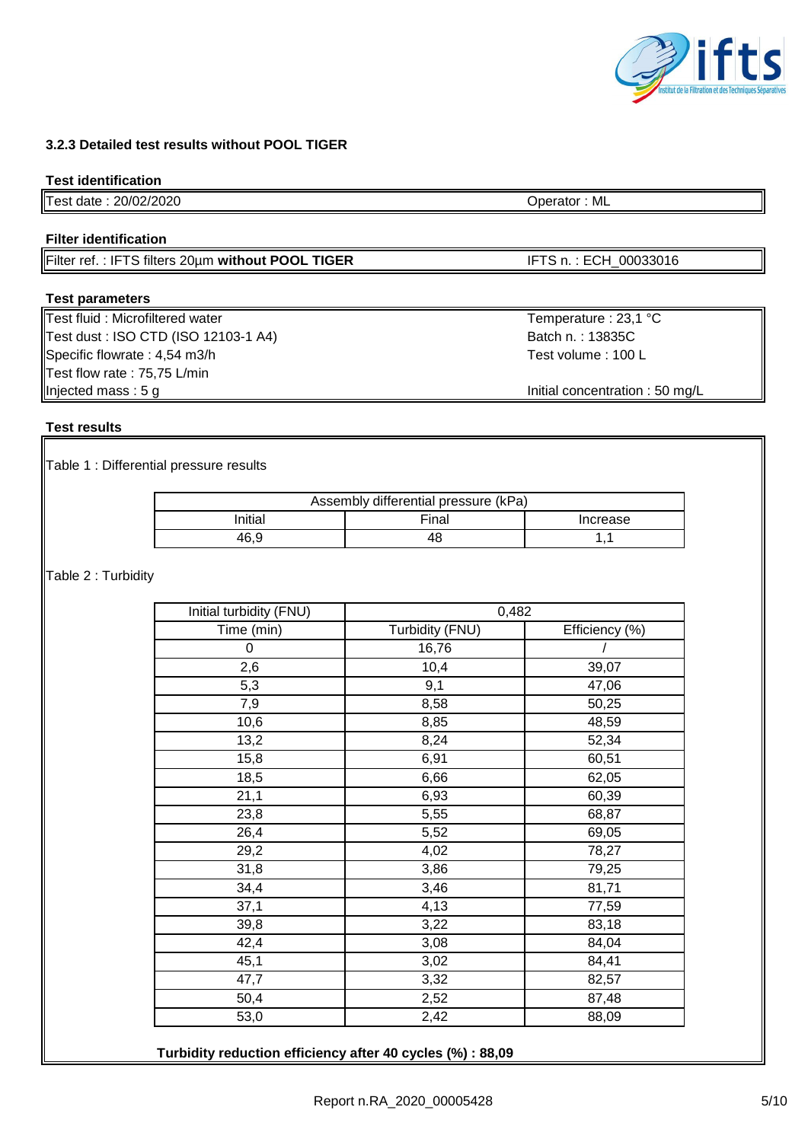### **3.2.3 Detailed test results without POOL TIGER**

#### **Test identification**

Test date : 20/02/2020 Operator : ML

#### **Filter identification**

Filter ref.: IFTS filters 20um without POOL TIGER<br>
IFTS n.: ECH\_00033016

### **Test parameters**

Test fluid : Microfiltered water Temperature : 23,1 °C Test dust : ISO CTD (ISO 12103-1 A4) Batch n. : 13835C Specific flowrate : 4,54 m3/h Test volume : 100 L Test flow rate : 75,75 L/min Injected mass : 5 g **Initial concentration : 50 mg/L** 

### **Test results**

Table 1 : Differential pressure results

| Assembly differential pressure (kPa) |  |  |  |  |
|--------------------------------------|--|--|--|--|
| Initial<br>Final<br>Increase         |  |  |  |  |
| 46.9<br>48                           |  |  |  |  |

Table 2 : Turbidity

| Initial turbidity (FNU) | 0,482           |                |  |
|-------------------------|-----------------|----------------|--|
| Time (min)              | Turbidity (FNU) | Efficiency (%) |  |
| 0                       | 16,76           |                |  |
| 2,6                     | 10,4            | 39,07          |  |
| 5,3                     | 9,1             | 47,06          |  |
| 7,9                     | 8,58            | 50,25          |  |
| 10,6                    | 8,85            | 48,59          |  |
| 13,2                    | 8,24            | 52,34          |  |
| 15,8                    | 6,91            | 60,51          |  |
| 18,5                    | 6,66            | 62,05          |  |
| 21,1                    | 6,93            | 60,39          |  |
| 23,8                    | 5,55            | 68,87          |  |
| 26,4                    | 5,52            | 69,05          |  |
| 29,2                    | 4,02            | 78,27          |  |
| 31,8                    | 3,86            | 79,25          |  |
| 34,4                    | 3,46            | 81,71          |  |
| 37,1                    | 4,13            | 77,59          |  |
| 39,8                    | 3,22            | 83,18          |  |
| 42,4                    | 3,08            | 84,04          |  |
| 45,1                    | 3,02            | 84,41          |  |
| 47,7                    | 3,32            | 82,57          |  |
| 50,4                    | 2,52            | 87,48          |  |
| 53,0                    | 2,42            | 88,09          |  |

**Turbidity reduction efficiency after 40 cycles (%) : 88,09**

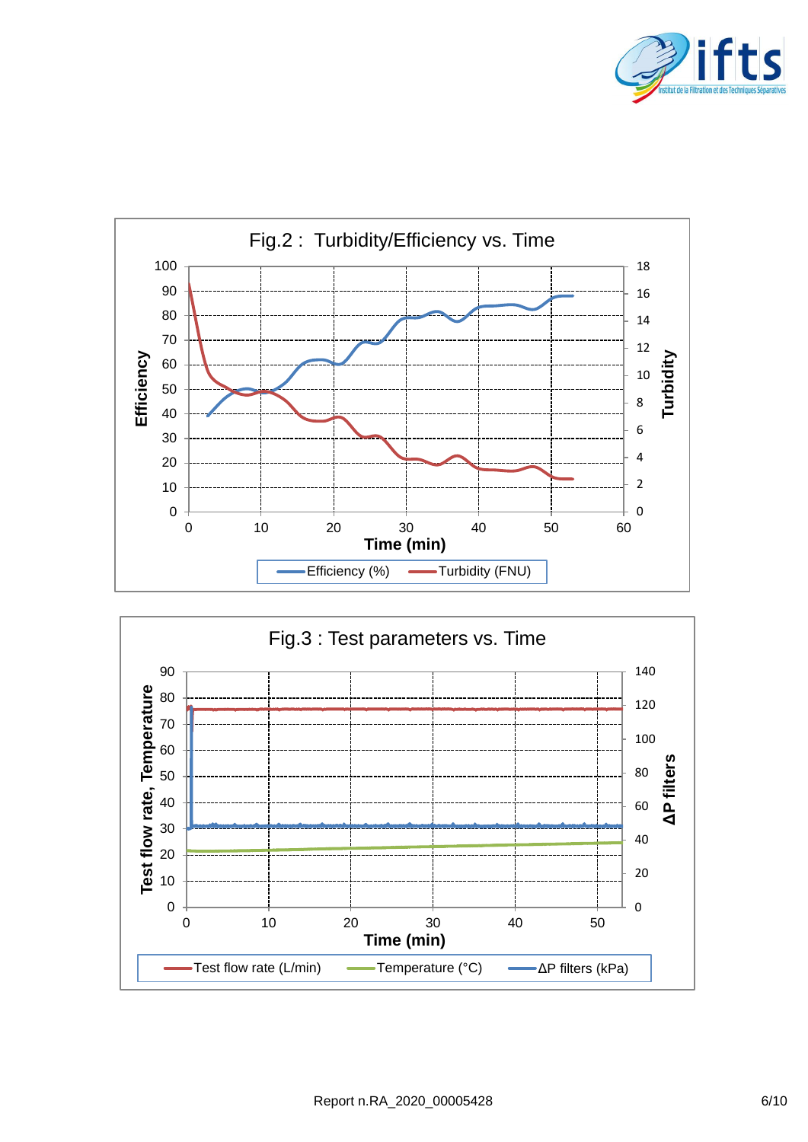



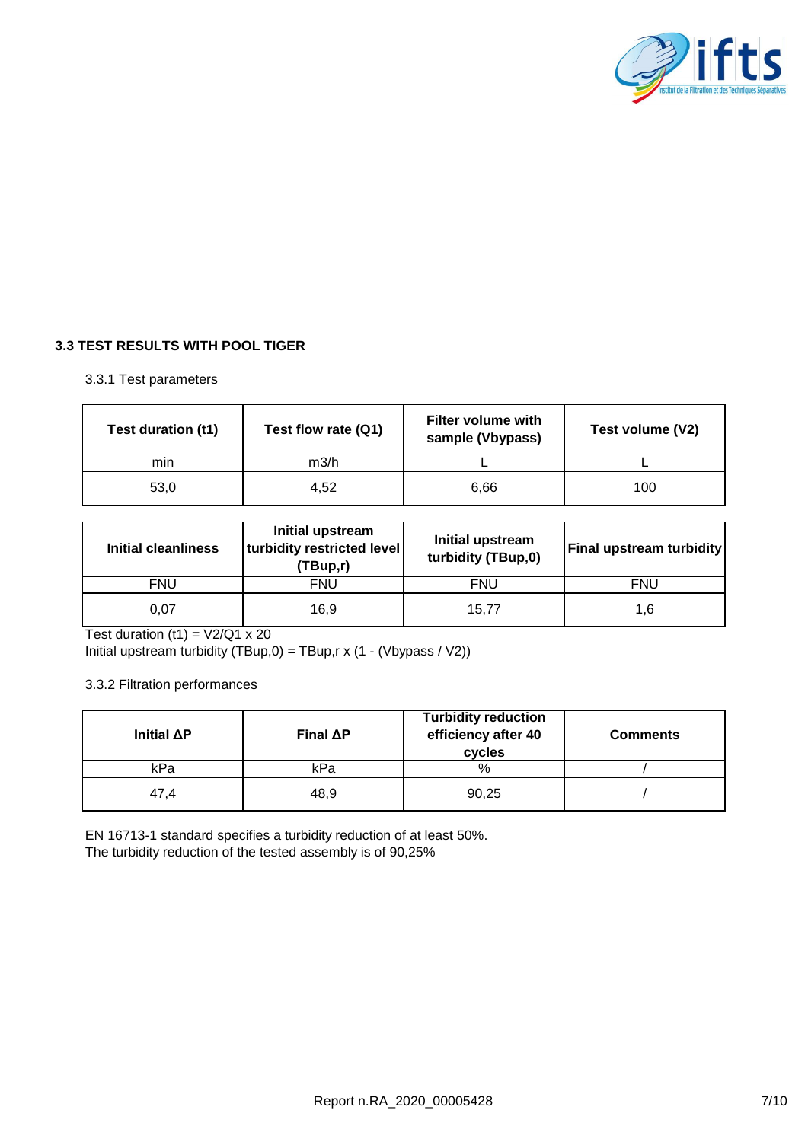

## **3.3 TEST RESULTS WITH POOL TIGER**

### 3.3.1 Test parameters

| Test duration (t1) | Test flow rate (Q1) | <b>Filter volume with</b><br>sample (Vbypass) | Test volume (V2) |
|--------------------|---------------------|-----------------------------------------------|------------------|
| min                | m3/h                |                                               |                  |
| 53,0               | 4,52                | 6,66                                          | 100              |

| <b>Initial cleanliness</b> | Initial upstream<br>turbidity restricted level<br>(TBup,r) | Initial upstream<br>turbidity (TBup,0) | <b>Final upstream turbidity</b> |
|----------------------------|------------------------------------------------------------|----------------------------------------|---------------------------------|
| <b>FNU</b>                 | <b>FNU</b>                                                 | <b>FNU</b>                             | FNU                             |
| 0.07                       | 16.9                                                       | 15.77                                  | 1.6                             |

Test duration  $(t1) = V2/Q1 \times 20$ 

Initial upstream turbidity (TBup,0) = TBup,r x (1 - (Vbypass / V2))

3.3.2 Filtration performances

| Initial $\Delta P$ | Final $\Delta P$ | <b>Turbidity reduction</b><br>efficiency after 40<br>cycles | <b>Comments</b> |
|--------------------|------------------|-------------------------------------------------------------|-----------------|
| kPa                | kPa              | %                                                           |                 |
| 47.4               | 48,9             | 90,25                                                       |                 |

EN 16713-1 standard specifies a turbidity reduction of at least 50%. The turbidity reduction of the tested assembly is of 90,25%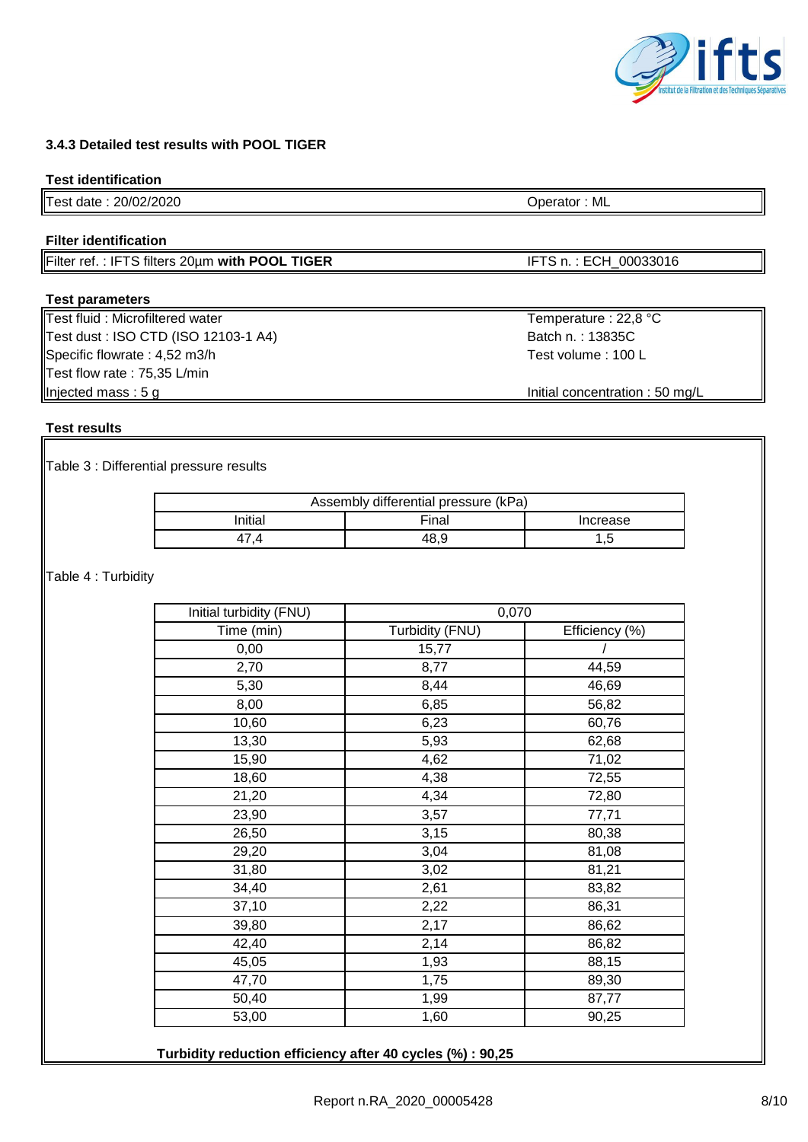# **3.4.3 Detailed test results with POOL TIGER**

## **Test identification**

Test date : 20/02/2020 Operator : ML

# **Filter identification**

Filter ref. : IFTS filters 20um with POOL TIGER **IFTS n. : ECH\_00033016** 

## **Test parameters**

Test fluid : Microfiltered water Temperature : 22,8 °C Test dust : ISO CTD (ISO 12103-1 A4) Batch n. : 13835C Specific flowrate : 4,52 m3/h Test volume : 100 L Test flow rate : 75,35 L/min Injected mass : 5 g Injected mass : 5 g Initial concentration : 50 mg/L

## **Test results**

Table 3 : Differential pressure results

| Assembly differential pressure (kPa) |       |          |  |
|--------------------------------------|-------|----------|--|
| ınitial                              | Final | Increase |  |
|                                      |       | Б<br>٠   |  |

Table 4 : Turbidity

| Initial turbidity (FNU) | 0,070           |                |
|-------------------------|-----------------|----------------|
| Time (min)              | Turbidity (FNU) | Efficiency (%) |
| 0,00                    | 15,77           |                |
| 2,70                    | 8,77            | 44,59          |
| 5,30                    | 8,44            | 46,69          |
| 8,00                    | 6,85            | 56,82          |
| 10,60                   | 6,23            | 60,76          |
| 13,30                   | 5,93            | 62,68          |
| 15,90                   | 4,62            | 71,02          |
| 18,60                   | 4,38            | 72,55          |
| 21,20                   | 4,34            | 72,80          |
| 23,90                   | 3,57            | 77,71          |
| 26,50                   | 3,15            | 80,38          |
| 29,20                   | 3,04            | 81,08          |
| 31,80                   | 3,02            | 81,21          |
| 34,40                   | 2,61            | 83,82          |
| 37,10                   | 2,22            | 86,31          |
| 39,80                   | 2,17            | 86,62          |
| 42,40                   | 2,14            | 86,82          |
| 45,05                   | 1,93            | 88,15          |
| 47,70                   | 1,75            | 89,30          |
| 50,40                   | 1,99            | 87,77          |
| 53,00                   | 1,60            | 90,25          |

**Turbidity reduction efficiency after 40 cycles (%) : 90,25**

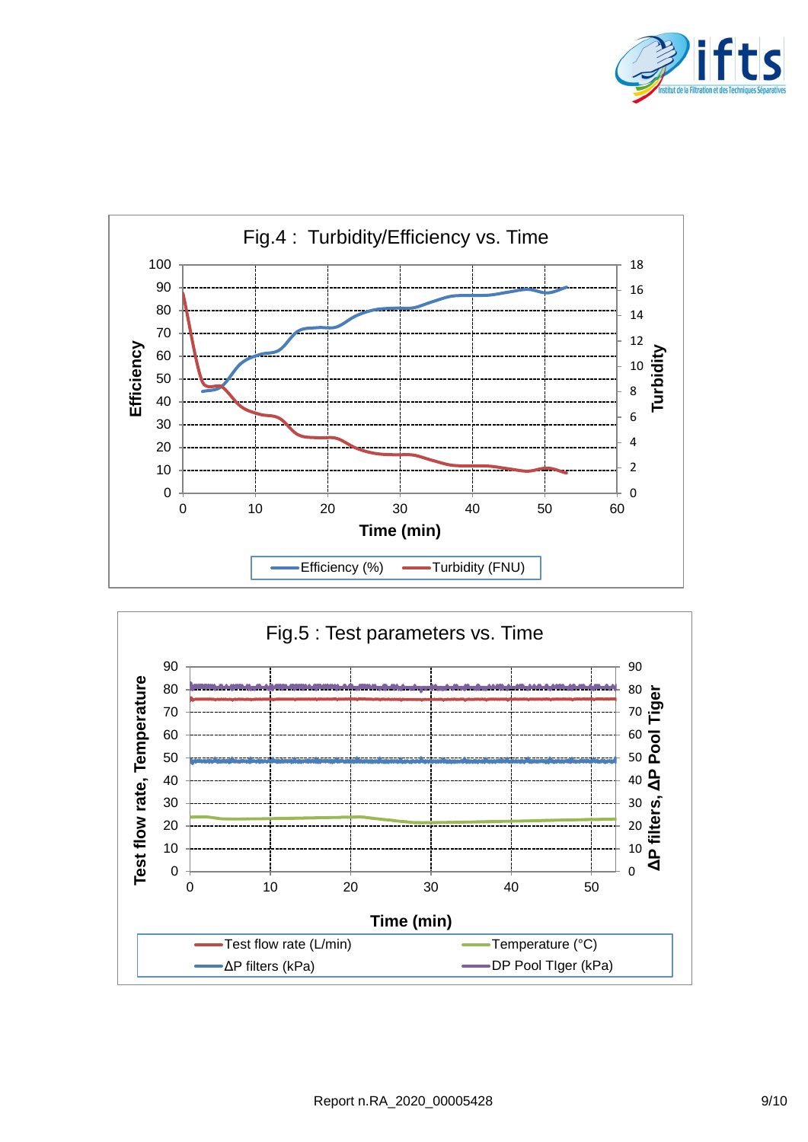